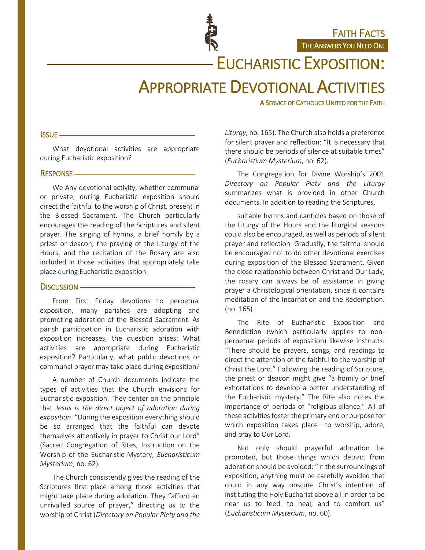FAITH FACTS THE ANSWERS YOU NEED ON:

EUCHARISTIC EXPOSITION:

# APPROPRIATE DEVOTIONAL ACTIVITIES

A SERVICE OF CATHOLICS UNITED FOR THE FAITH

#### **ISSUE** -

What devotional activities are appropriate during Eucharistic exposition?

#### **RESPONSE** —

We Any devotional activity, whether communal or private, during Eucharistic exposition should direct the faithful to the worship of Christ, present in the Blessed Sacrament. The Church particularly encourages the reading of the Scriptures and silent prayer. The singing of hymns, a brief homily by a priest or deacon, the praying of the Liturgy of the Hours, and the recitation of the Rosary are also included in those activities that appropriately take place during Eucharistic exposition.

#### DISCUSSION -

From First Friday devotions to perpetual exposition, many parishes are adopting and promoting adoration of the Blessed Sacrament. As parish participation in Eucharistic adoration with exposition increases, the question arises: What activities are appropriate during Eucharistic exposition? Particularly, what public devotions or communal prayer may take place during exposition?

A number of Church documents indicate the types of activities that the Church envisions for Eucharistic exposition. They center on the principle that *Jesus is the direct object of adoration during exposition*. "During the exposition everything should be so arranged that the faithful can devote themselves attentively in prayer to Christ our Lord" (Sacred Congregation of Rites, Instruction on the Worship of the Eucharistic Mystery, *Eucharisticum Mysterium*, no. 62).

The Church consistently gives the reading of the Scriptures first place among those activities that might take place during adoration. They "afford an unrivalled source of prayer," directing us to the worship of Christ (*Directory on Popular Piety and the* 

*Liturgy*, no. 165). The Church also holds a preference for silent prayer and reflection: "It is necessary that there should be periods of silence at suitable times" (*Eucharistium Mysterium*, no. 62).

The Congregation for Divine Worship's 2001 *Directory on Popular Piety and the Liturgy* summarizes what is provided in other Church documents. In addition to reading the Scriptures,

suitable hymns and canticles based on those of the Liturgy of the Hours and the liturgical seasons could also be encouraged, as well as periods of silent prayer and reflection. Gradually, the faithful should be encouraged not to do other devotional exercises during exposition of the Blessed Sacrament. Given the close relationship between Christ and Our Lady, the rosary can always be of assistance in giving prayer a Christological orientation, since it contains meditation of the Incarnation and the Redemption. (no. 165)

The Rite of Eucharistic Exposition and Benediction (which particularly applies to nonperpetual periods of exposition) likewise instructs: "There should be prayers, songs, and readings to direct the attention of the faithful to the worship of Christ the Lord." Following the reading of Scripture, the priest or deacon might give "a homily or brief exhortations to develop a better understanding of the Eucharistic mystery." The Rite also notes the importance of periods of "religious silence." All of these activities foster the primary end or purpose for which exposition takes place—to worship, adore, and pray to Our Lord.

Not only should prayerful adoration be promoted, but those things which detract from adoration should be avoided: "In the surroundings of exposition, anything must be carefully avoided that could in any way obscure Christ's intention of instituting the Holy Eucharist above all in order to be near us to feed, to heal, and to comfort us" (*Eucharisticum Mysterium*, no. 60).